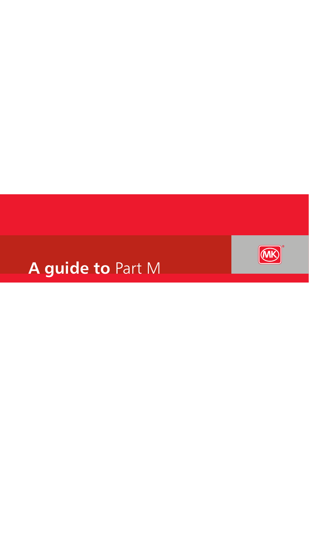

# **A guide to** Part M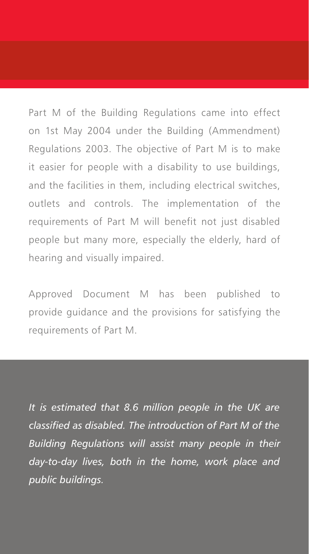Part M of the Building Regulations came into effect on 1st May 2004 under the Building (Ammendment) Regulations 2003. The objective of Part M is to make it easier for people with a disability to use buildings, and the facilities in them, including electrical switches, outlets and controls. The implementation of the requirements of Part M will benefit not just disabled people but many more, especially the elderly, hard of hearing and visually impaired.

Approved Document M has been published to provide guidance and the provisions for satisfying the requirements of Part M.

*It is estimated that 8.6 million people in the UK are classified as disabled. The introduction of Part M of the Building Regulations will assist many people in their day-to-day lives, both in the home, work place and public buildings.*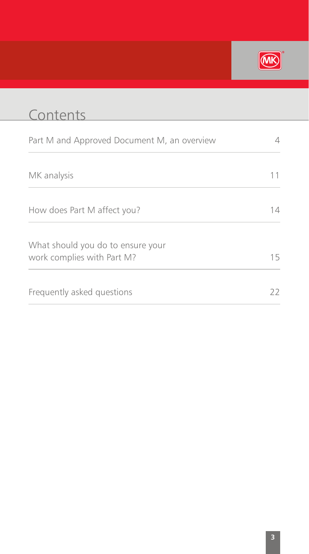

| Contents                                                        |    |
|-----------------------------------------------------------------|----|
| Part M and Approved Document M, an overview                     |    |
| MK analysis                                                     |    |
| How does Part M affect you?                                     | 1Δ |
| What should you do to ensure your<br>work complies with Part M? | 15 |
| Frequently asked questions                                      | 22 |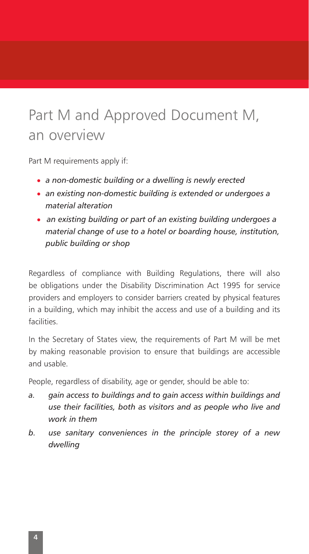## Part M and Approved Document M, an overview

Part M requirements apply if:

- a non-domestic building or a dwelling is newly erected
- an existing non-domestic building is extended or undergoes a *material alteration*
- an existing building or part of an existing building undergoes a *material change of use to a hotel or boarding house, institution, public building or shop*

Regardless of compliance with Building Regulations, there will also be obligations under the Disability Discrimination Act 1995 for service providers and employers to consider barriers created by physical features in a building, which may inhibit the access and use of a building and its facilities.

In the Secretary of States view, the requirements of Part M will be met by making reasonable provision to ensure that buildings are accessible and usable.

People, regardless of disability, age or gender, should be able to:

- *a. gain access to buildings and to gain access within buildings and use their facilities, both as visitors and as people who live and work in them*
- *b. use sanitary conveniences in the principle storey of a new dwelling*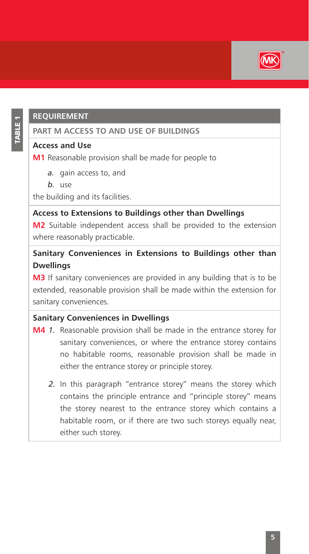

## **Requirement**

## **PART M ACCESS TO AND USE OF BUILDINGS**

#### **Access and Use**

**M1** Reasonable provision shall be made for people to

- *a.* gain access to, and
- *b.* use

the building and its facilities.

### **Access to Extensions to Buildings other than Dwellings**

**M2** Suitable independent access shall be provided to the extension where reasonably practicable.

## **Sanitary Conveniences in Extensions to Buildings other than Dwellings**

**M3** If sanitary conveniences are provided in any building that is to be extended, reasonable provision shall be made within the extension for sanitary conveniences.

### **Sanitary Conveniences in Dwellings**

- **M4** *1.* Reasonable provision shall be made in the entrance storey for sanitary conveniences, or where the entrance storey contains no habitable rooms, reasonable provision shall be made in either the entrance storey or principle storey.
	- *2.* In this paragraph "entrance storey" means the storey which contains the principle entrance and "principle storey" means the storey nearest to the entrance storey which contains a habitable room, or if there are two such storeys equally near, either such storey.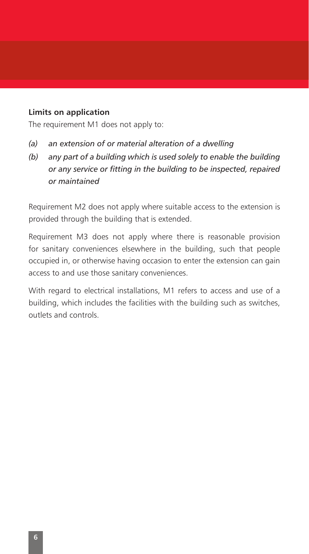#### **Limits on application**

The requirement M1 does not apply to:

- *(a) an extension of or material alteration of a dwelling*
- *(b) any part of a building which is used solely to enable the building or any service or fitting in the building to be inspected, repaired or maintained*

Requirement M2 does not apply where suitable access to the extension is provided through the building that is extended.

Requirement M3 does not apply where there is reasonable provision for sanitary conveniences elsewhere in the building, such that people occupied in, or otherwise having occasion to enter the extension can gain access to and use those sanitary conveniences.

With regard to electrical installations, M1 refers to access and use of a building, which includes the facilities with the building such as switches, outlets and controls.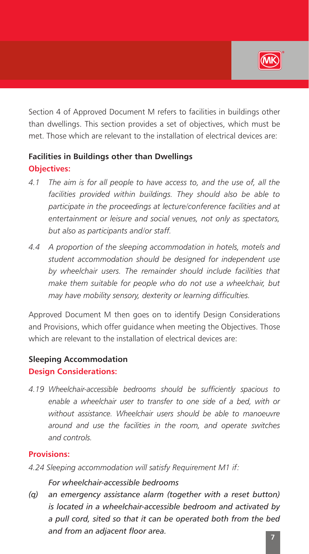

Section 4 of Approved Document M refers to facilities in buildings other than dwellings. This section provides a set of objectives, which must be met. Those which are relevant to the installation of electrical devices are:

## **Facilities in Buildings other than Dwellings Objectives:**

- *4.1 The aim is for all people to have access to, and the use of, all the facilities provided within buildings. They should also be able to participate in the proceedings at lecture/conference facilities and at entertainment or leisure and social venues, not only as spectators, but also as participants and/or staff.*
- *4.4 A proportion of the sleeping accommodation in hotels, motels and student accommodation should be designed for independent use by wheelchair users. The remainder should include facilities that make them suitable for people who do not use a wheelchair, but may have mobility sensory, dexterity or learning difficulties.*

Approved Document M then goes on to identify Design Considerations and Provisions, which offer guidance when meeting the Objectives. Those which are relevant to the installation of electrical devices are:

## **Sleeping Accommodation Design Considerations:**

*4.19 Wheelchair-accessible bedrooms should be sufficiently spacious to enable a wheelchair user to transfer to one side of a bed, with or without assistance. Wheelchair users should be able to manoeuvre around and use the facilities in the room, and operate switches and controls.*

#### **Provisions:**

*4.24 Sleeping accommodation will satisfy Requirement M1 if:*

#### *For wheelchair-accessible bedrooms*

*(q) an emergency assistance alarm (together with a reset button) is located in a wheelchair-accessible bedroom and activated by a pull cord, sited so that it can be operated both from the bed and from an adjacent floor area.*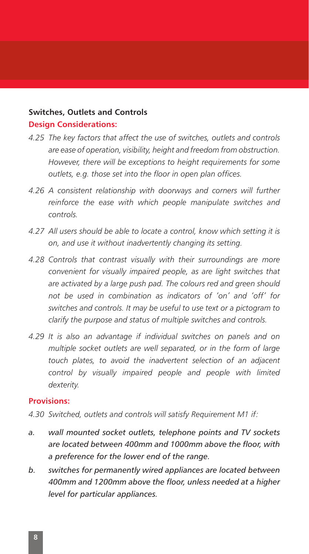### **Switches, Outlets and Controls Design Considerations:**

- *4.25 The key factors that affect the use of switches, outlets and controls are ease of operation, visibility, height and freedom from obstruction. However, there will be exceptions to height requirements for some outlets, e.g. those set into the floor in open plan offices.*
- *4.26 A consistent relationship with doorways and corners will further reinforce the ease with which people manipulate switches and controls.*
- *4.27 All users should be able to locate a control, know which setting it is on, and use it without inadvertently changing its setting.*
- *4.28 Controls that contrast visually with their surroundings are more convenient for visually impaired people, as are light switches that are activated by a large push pad. The colours red and green should not be used in combination as indicators of 'on' and 'off' for switches and controls. It may be useful to use text or a pictogram to clarify the purpose and status of multiple switches and controls.*
- *4.29 It is also an advantage if individual switches on panels and on multiple socket outlets are well separated, or in the form of large touch plates, to avoid the inadvertent selection of an adjacent control by visually impaired people and people with limited dexterity.*

#### **Provisions:**

- *4.30 Switched, outlets and controls will satisfy Requirement M1 if:*
- *a. wall mounted socket outlets, telephone points and TV sockets are located between 400mm and 1000mm above the floor, with a preference for the lower end of the range.*
- *b. switches for permanently wired appliances are located between 400mm and 1200mm above the floor, unless needed at a higher level for particular appliances.*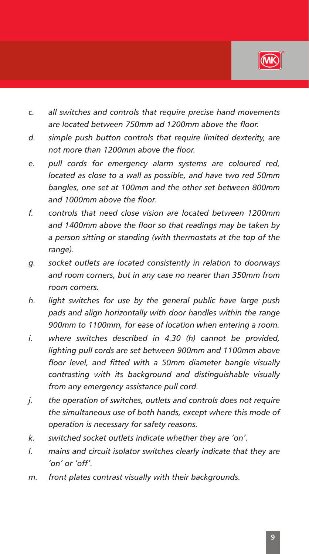

- *c. all switches and controls that require precise hand movements are located between 750mm ad 1200mm above the floor.*
- *d. simple push button controls that require limited dexterity, are not more than 1200mm above the floor.*
- *e. pull cords for emergency alarm systems are coloured red, located as close to a wall as possible, and have two red 50mm bangles, one set at 100mm and the other set between 800mm and 1000mm above the floor.*
- *f. controls that need close vision are located between 1200mm and 1400mm above the floor so that readings may be taken by a person sitting or standing (with thermostats at the top of the range).*
- *g. socket outlets are located consistently in relation to doorways and room corners, but in any case no nearer than 350mm from room corners.*
- *h. light switches for use by the general public have large push pads and align horizontally with door handles within the range 900mm to 1100mm, for ease of location when entering a room.*
- *i. where switches described in 4.30 (h) cannot be provided, lighting pull cords are set between 900mm and 1100mm above floor level, and fitted with a 50mm diameter bangle visually contrasting with its background and distinguishable visually from any emergency assistance pull cord.*
- *j. the operation of switches, outlets and controls does not require the simultaneous use of both hands, except where this mode of operation is necessary for safety reasons.*
- *k. switched socket outlets indicate whether they are 'on'.*
- *l. mains and circuit isolator switches clearly indicate that they are 'on' or 'off'.*
- *m. front plates contrast visually with their backgrounds.*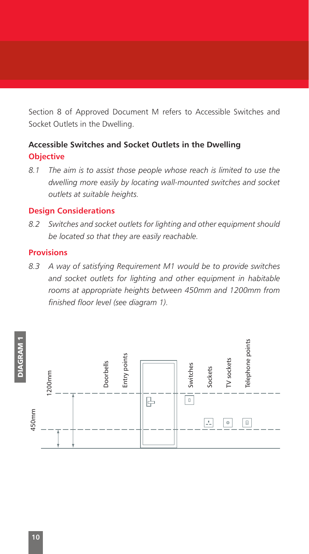Section 8 of Approved Document M refers to Accessible Switches and Socket Outlets in the Dwelling.

## **Accessible Switches and Socket Outlets in the Dwelling Objective**

*8.1 The aim is to assist those people whose reach is limited to use the dwelling more easily by locating wall-mounted switches and socket outlets at suitable heights.*

#### **Design Considerations**

*8.2 Switches and socket outlets for lighting and other equipment should be located so that they are easily reachable.*

#### **Provisions**

*8.3 A way of satisfying Requirement M1 would be to provide switches and socket outlets for lighting and other equipment in habitable rooms at appropriate heights between 450mm and 1200mm from finished floor level (see diagram 1).*

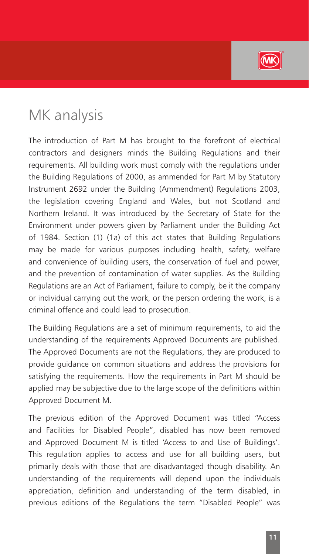

## MK analysis

The introduction of Part M has brought to the forefront of electrical contractors and designers minds the Building Regulations and their requirements. All building work must comply with the regulations under the Building Regulations of 2000, as ammended for Part M by Statutory Instrument 2692 under the Building (Ammendment) Regulations 2003, the legislation covering England and Wales, but not Scotland and Northern Ireland. It was introduced by the Secretary of State for the Environment under powers given by Parliament under the Building Act of 1984. Section (1) (1a) of this act states that Building Regulations may be made for various purposes including health, safety, welfare and convenience of building users, the conservation of fuel and power, and the prevention of contamination of water supplies. As the Building Regulations are an Act of Parliament, failure to comply, be it the company or individual carrying out the work, or the person ordering the work, is a criminal offence and could lead to prosecution.

The Building Regulations are a set of minimum requirements, to aid the understanding of the requirements Approved Documents are published. The Approved Documents are not the Regulations, they are produced to provide guidance on common situations and address the provisions for satisfying the requirements. How the requirements in Part M should be applied may be subjective due to the large scope of the definitions within Approved Document M.

The previous edition of the Approved Document was titled "Access and Facilities for Disabled People", disabled has now been removed and Approved Document M is titled 'Access to and Use of Buildings'. This regulation applies to access and use for all building users, but primarily deals with those that are disadvantaged though disability. An understanding of the requirements will depend upon the individuals appreciation, definition and understanding of the term disabled, in previous editions of the Regulations the term "Disabled People" was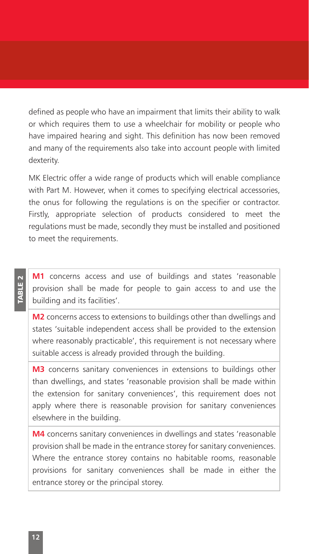defined as people who have an impairment that limits their ability to walk or which requires them to use a wheelchair for mobility or people who have impaired hearing and sight. This definition has now been removed and many of the requirements also take into account people with limited dexterity.

MK Electric offer a wide range of products which will enable compliance with Part M. However, when it comes to specifying electrical accessories, the onus for following the regulations is on the specifier or contractor. Firstly, appropriate selection of products considered to meet the regulations must be made, secondly they must be installed and positioned to meet the requirements.

TABLE 2

**M1** concerns access and use of buildings and states 'reasonable provision shall be made for people to gain access to and use the building and its facilities'.

**M2** concerns access to extensions to buildings other than dwellings and states 'suitable independent access shall be provided to the extension where reasonably practicable', this requirement is not necessary where suitable access is already provided through the building.

**M3** concerns sanitary conveniences in extensions to buildings other than dwellings, and states 'reasonable provision shall be made within the extension for sanitary conveniences', this requirement does not apply where there is reasonable provision for sanitary conveniences elsewhere in the building.

**M4** concerns sanitary conveniences in dwellings and states 'reasonable provision shall be made in the entrance storey for sanitary conveniences. Where the entrance storey contains no habitable rooms, reasonable provisions for sanitary conveniences shall be made in either the entrance storey or the principal storey.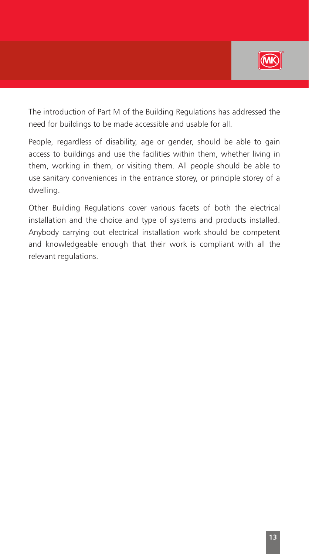

The introduction of Part M of the Building Regulations has addressed the need for buildings to be made accessible and usable for all.

People, regardless of disability, age or gender, should be able to gain access to buildings and use the facilities within them, whether living in them, working in them, or visiting them. All people should be able to use sanitary conveniences in the entrance storey, or principle storey of a dwelling.

Other Building Regulations cover various facets of both the electrical installation and the choice and type of systems and products installed. Anybody carrying out electrical installation work should be competent and knowledgeable enough that their work is compliant with all the relevant regulations.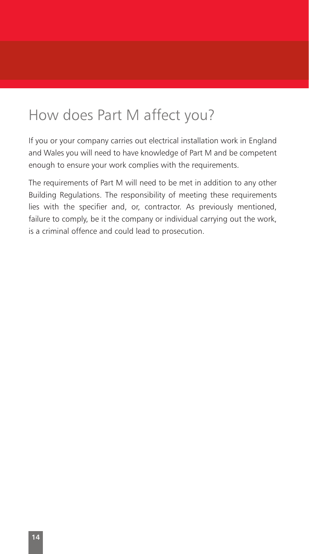## How does Part M affect you?

If you or your company carries out electrical installation work in England and Wales you will need to have knowledge of Part M and be competent enough to ensure your work complies with the requirements.

The requirements of Part M will need to be met in addition to any other Building Regulations. The responsibility of meeting these requirements lies with the specifier and, or, contractor. As previously mentioned, failure to comply, be it the company or individual carrying out the work, is a criminal offence and could lead to prosecution.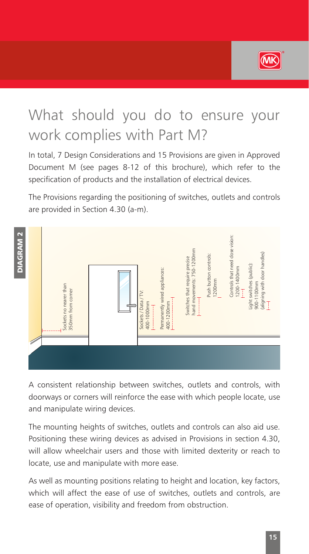

## What should you do to ensure your work complies with Part M?

In total, 7 Design Considerations and 15 Provisions are given in Approved Document M (see pages 8-12 of this brochure), which refer to the specification of products and the installation of electrical devices.

The Provisions regarding the positioning of switches, outlets and controls are provided in Section 4.30 (a-m).



A consistent relationship between switches, outlets and controls, with doorways or corners will reinforce the ease with which people locate, use and manipulate wiring devices.

The mounting heights of switches, outlets and controls can also aid use. Positioning these wiring devices as advised in Provisions in section 4.30, will allow wheelchair users and those with limited dexterity or reach to locate, use and manipulate with more ease.

As well as mounting positions relating to height and location, key factors, which will affect the ease of use of switches, outlets and controls, are ease of operation, visibility and freedom from obstruction.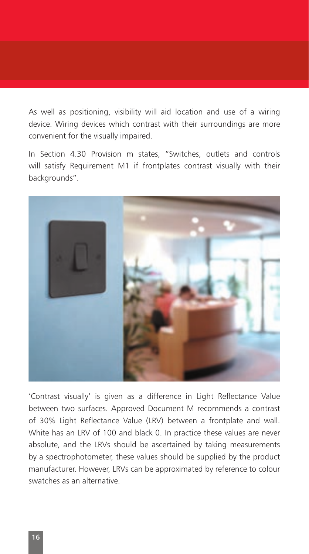As well as positioning, visibility will aid location and use of a wiring device. Wiring devices which contrast with their surroundings are more convenient for the visually impaired.

In Section 4.30 Provision m states, "Switches, outlets and controls will satisfy Requirement M1 if frontplates contrast visually with their backgrounds".



'Contrast visually' is given as a difference in Light Reflectance Value between two surfaces. Approved Document M recommends a contrast of 30% Light Reflectance Value (LRV) between a frontplate and wall. White has an LRV of 100 and black 0. In practice these values are never absolute, and the LRVs should be ascertained by taking measurements by a spectrophotometer, these values should be supplied by the product manufacturer. However, LRVs can be approximated by reference to colour swatches as an alternative.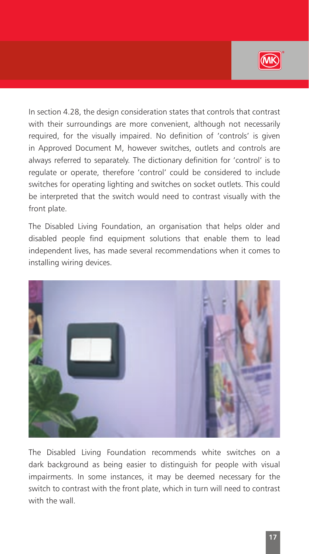

In section 4.28, the design consideration states that controls that contrast with their surroundings are more convenient, although not necessarily required, for the visually impaired. No definition of 'controls' is given in Approved Document M, however switches, outlets and controls are always referred to separately. The dictionary definition for 'control' is to regulate or operate, therefore 'control' could be considered to include switches for operating lighting and switches on socket outlets. This could be interpreted that the switch would need to contrast visually with the front plate.

The Disabled Living Foundation, an organisation that helps older and disabled people find equipment solutions that enable them to lead independent lives, has made several recommendations when it comes to installing wiring devices.



The Disabled Living Foundation recommends white switches on a dark background as being easier to distinguish for people with visual impairments. In some instances, it may be deemed necessary for the switch to contrast with the front plate, which in turn will need to contrast with the wall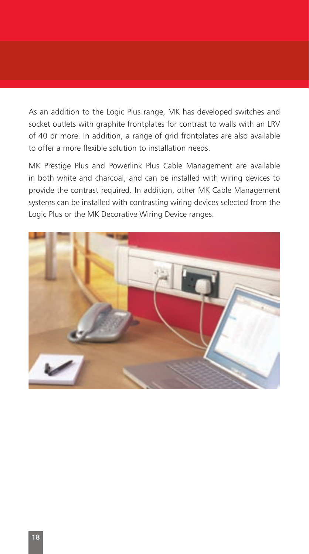As an addition to the Logic Plus range, MK has developed switches and socket outlets with graphite frontplates for contrast to walls with an LRV of 40 or more. In addition, a range of grid frontplates are also available to offer a more flexible solution to installation needs.

MK Prestige Plus and Powerlink Plus Cable Management are available in both white and charcoal, and can be installed with wiring devices to provide the contrast required. In addition, other MK Cable Management systems can be installed with contrasting wiring devices selected from the Logic Plus or the MK Decorative Wiring Device ranges.

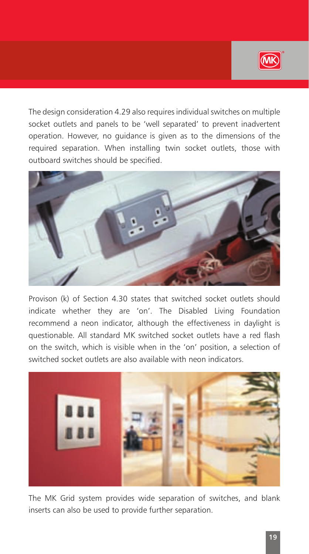

The design consideration 4.29 also requires individual switches on multiple socket outlets and panels to be 'well separated' to prevent inadvertent operation. However, no guidance is given as to the dimensions of the required separation. When installing twin socket outlets, those with outboard switches should be specified.



Provison (k) of Section 4.30 states that switched socket outlets should indicate whether they are 'on'. The Disabled Living Foundation recommend a neon indicator, although the effectiveness in daylight is questionable. All standard MK switched socket outlets have a red flash on the switch, which is visible when in the 'on' position, a selection of switched socket outlets are also available with neon indicators.



The MK Grid system provides wide separation of switches, and blank inserts can also be used to provide further separation.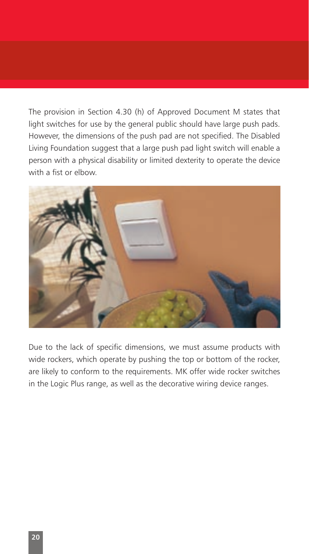The provision in Section 4.30 (h) of Approved Document M states that light switches for use by the general public should have large push pads. However, the dimensions of the push pad are not specified. The Disabled Living Foundation suggest that a large push pad light switch will enable a person with a physical disability or limited dexterity to operate the device with a fist or elbow.



Due to the lack of specific dimensions, we must assume products with wide rockers, which operate by pushing the top or bottom of the rocker, are likely to conform to the requirements. MK offer wide rocker switches in the Logic Plus range, as well as the decorative wiring device ranges.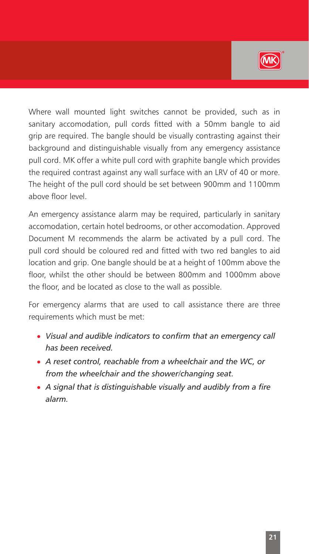

Where wall mounted light switches cannot be provided, such as in sanitary accomodation, pull cords fitted with a 50mm bangle to aid grip are required. The bangle should be visually contrasting against their background and distinguishable visually from any emergency assistance pull cord. MK offer a white pull cord with graphite bangle which provides the required contrast against any wall surface with an LRV of 40 or more. The height of the pull cord should be set between 900mm and 1100mm above floor level.

An emergency assistance alarm may be required, particularly in sanitary accomodation, certain hotel bedrooms, or other accomodation. Approved Document M recommends the alarm be activated by a pull cord. The pull cord should be coloured red and fitted with two red bangles to aid location and grip. One bangle should be at a height of 100mm above the floor, whilst the other should be between 800mm and 1000mm above the floor, and be located as close to the wall as possible.

For emergency alarms that are used to call assistance there are three requirements which must be met:

- Visual and audible indicators to confirm that an emergency call *has been received.*
- <sup>l</sup> *A reset control, reachable from a wheelchair and the WC, or from the wheelchair and the shower/changing seat.*
- <sup>l</sup> *A signal that is distinguishable visually and audibly from a fire alarm.*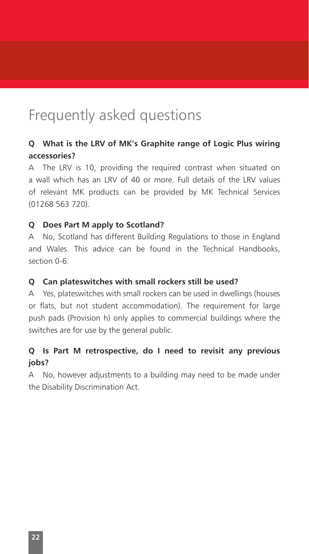## Frequently asked questions

## **Q What is the LRV of MK's Graphite range of Logic Plus wiring accessories?**

A The LRV is 10, providing the required contrast when situated on a wall which has an LRV of 40 or more. Full details of the LRV values of relevant MK products can be provided by MK Technical Services (01268 563 720).

#### **Q Does Part M apply to Scotland?**

A No, Scotland has different Building Regulations to those in England and Wales. This advice can be found in the Technical Handbooks, section 0-6.

#### **Q Can plateswitches with small rockers still be used?**

A Yes, plateswitches with small rockers can be used in dwellings (houses or flats, but not student accommodation). The requirement for large push pads (Provision h) only applies to commercial buildings where the switches are for use by the general public.

## **Q Is Part M retrospective, do I need to revisit any previous jobs?**

A No, however adjustments to a building may need to be made under the Disability Discrimination Act.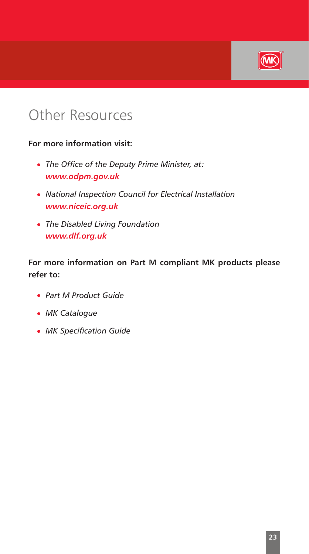

## Other Resources

### **For more information visit:**

- The Office of the Deputy Prime Minister, at: *www.odpm.gov.uk*
- **National Inspection Council for Electrical Installation** *www.niceic.org.uk*
- <sup>l</sup> *The Disabled Living Foundation www.dlf.org.uk*

**For more information on Part M compliant MK products please refer to:**

- **Part M Product Guide**
- **· MK Catalogue**
- **MK Specification Guide**